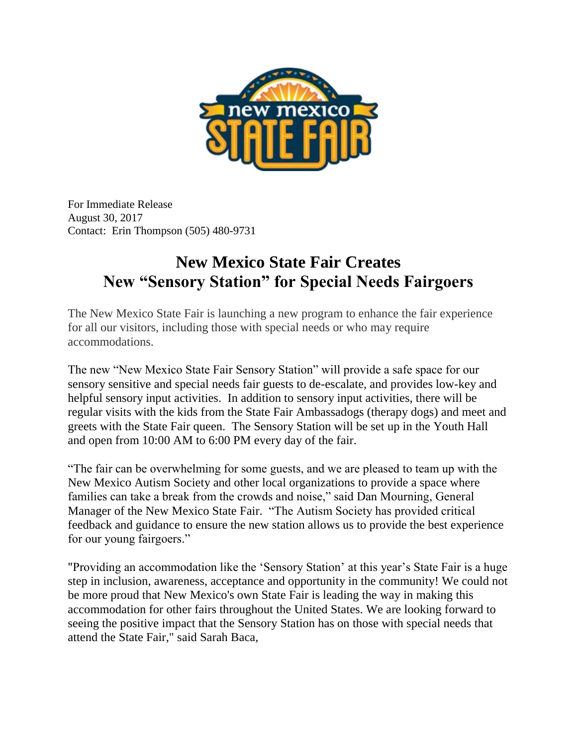

For Immediate Release August 30, 2017 Contact: Erin Thompson (505) 480-9731

## **New Mexico State Fair Creates New "Sensory Station" for Special Needs Fairgoers**

The New Mexico State Fair is launching a new program to enhance the fair experience for all our visitors, including those with special needs or who may require accommodations.

The new "New Mexico State Fair Sensory Station" will provide a safe space for our sensory sensitive and special needs fair guests to de-escalate, and provides low-key and helpful sensory input activities. In addition to sensory input activities, there will be regular visits with the kids from the State Fair Ambassadogs (therapy dogs) and meet and greets with the State Fair queen. The Sensory Station will be set up in the Youth Hall and open from 10:00 AM to 6:00 PM every day of the fair.

"The fair can be overwhelming for some guests, and we are pleased to team up with the New Mexico Autism Society and other local organizations to provide a space where families can take a break from the crowds and noise," said Dan Mourning, General Manager of the New Mexico State Fair. "The Autism Society has provided critical feedback and guidance to ensure the new station allows us to provide the best experience for our young fairgoers."

"Providing an accommodation like the 'Sensory Station' at this year's State Fair is a huge step in inclusion, awareness, acceptance and opportunity in the community! We could not be more proud that New Mexico's own State Fair is leading the way in making this accommodation for other fairs throughout the United States. We are looking forward to seeing the positive impact that the Sensory Station has on those with special needs that attend the State Fair," said Sarah Baca,